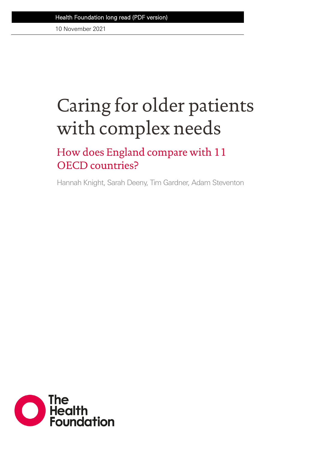10 November 2021

# Caring for older patients with complex needs

How does England compare with 11 OECD countries?

Hannah Knight, Sarah Deeny, Tim Gardner, Adam Steventon

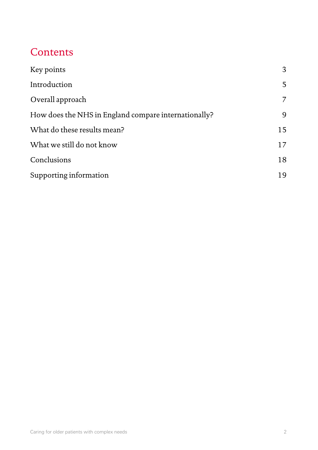# **Contents**

| Key points                                           | 3              |
|------------------------------------------------------|----------------|
| Introduction                                         | 5              |
| Overall approach                                     | $\overline{7}$ |
| How does the NHS in England compare internationally? | 9              |
| What do these results mean?                          | 15             |
| What we still do not know                            | 17             |
| Conclusions                                          | 18             |
| Supporting information                               | 19             |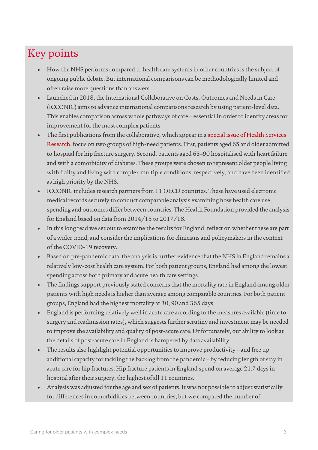# Key points

- How the NHS performs compared to health care systems in other countries is the subject of ongoing public debate. But international comparisons can be methodologically limited and often raise more questions than answers.
- Launched in 2018, the International Collaborative on Costs, Outcomes and Needs in Care (ICCONIC) aims to advance international comparisons research by using patient-level data. This enables comparison across whole pathways of care – essential in order to identify areas for improvement for the most complex patients.
- The first publications from the collaborative, which appear in [a special issue of Health Services](https://onlinelibrary.wiley.com/toc/14756773/2021/56/S3)  [Research,](https://onlinelibrary.wiley.com/toc/14756773/2021/56/S3) focus on two groups of high-need patients. First, patients aged 65 and older admitted to hospital for hip fracture surgery. Second, patients aged 65–90 hospitalised with heart failure and with a comorbidity of diabetes. These groups were chosen to represent older people living with frailty and living with complex multiple conditions, respectively, and have been identified as high priority by the NHS.
- ICCONIC includes research partners from 11 OECD countries. These have used electronic medical records securely to conduct comparable analysis examining how health care use, spending and outcomes differ between countries. The Health Foundation provided the analysis for England based on data from 2014/15 to 2017/18.
- In this long read we set out to examine the results for England, reflect on whether these are part of a wider trend, and consider the implications for clinicians and policymakers in the context of the COVID-19 recovery.
- Based on pre-pandemic data, the analysis is further evidence that the NHS in England remains a relatively low-cost health care system. For both patient groups, England had among the lowest spending across both primary and acute health care settings.
- The findings support previously stated concerns that the mortality rate in England among older patients with high needs is higher than average among comparable countries. For both patient groups, England had the highest mortality at 30, 90 and 365 days.
- England is performing relatively well in acute care according to the measures available (time to surgery and readmission rates), which suggests further scrutiny and investment may be needed to improve the availability and quality of post-acute care. Unfortunately, our ability to look at the details of post-acute care in England is hampered by data availability.
- The results also highlight potential opportunities to improve productivity and free up additional capacity for tackling the backlog from the pandemic – by reducing length of stay in acute care for hip fractures. Hip fracture patients in England spend on average 21.7 days in hospital after their surgery, the highest of all 11 countries.
- Analysis was adjusted for the age and sex of patients. It was not possible to adjust statistically for differences in comorbidities between countries, but we compared the number of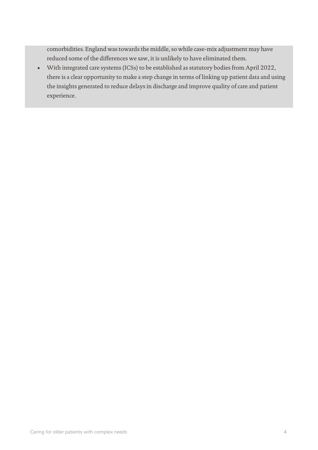comorbidities. England was towards the middle, so while case-mix adjustment may have reduced some of the differences we saw, it is unlikely to have eliminated them.

• With integrated care systems (ICSs) to be established as statutory bodies from April 2022, there is a clear opportunity to make a step change in terms of linking up patient data and using the insights generated to reduce delays in discharge and improve quality of care and patient experience.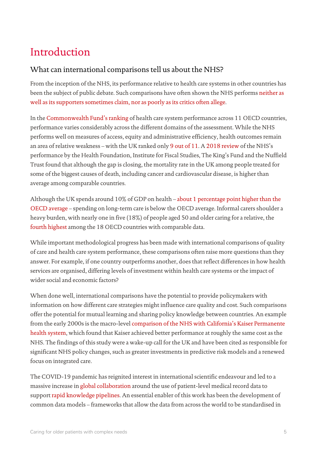# Introduction

### What can international comparisons tell us about the NHS?

From the inception of the NHS, its performance relative to health care systems in other countries has been the subject of public debate. Such comparisons have often shown the NHS perform[s neither as](https://www.health.org.uk/publications/nhs-at-70-how-good-is-the-nhs)  [well as its supporters sometimes claim, nor as poorly as its critics often allege.](https://www.health.org.uk/publications/nhs-at-70-how-good-is-the-nhs)

In the [Commonwealth Fund's ranking](https://www.commonwealthfund.org/publications/fund-reports/2021/aug/mirror-mirror-2021-reflecting-poorly#rank) of health care system performance across 11 OECD countries, performance varies considerably across the different domains of the assessment. While the NHS performs well on measures of access, equity and administrative efficiency, health outcomes remain an area of relative weakness – with the UK ranked onl[y 9 out of 11.](https://www.commonwealthfund.org/publications/fund-reports/2021/aug/mirror-mirror-2021-reflecting-poorly#outcomes) A [2018 review](https://www.health.org.uk/publications/nhs-at-70-how-good-is-the-nhs) of the NHS's performance by the Health Foundation, Institute for Fiscal Studies, The King's Fund and the Nuffield Trust found that although the gap is closing, the mortality rate in the UK among people treated for some of the biggest causes of death, including cancer and cardiovascular disease, is higher than average among comparable countries.

Although the UK spends around 10% of GDP on health – [about 1 percentage point higher than the](https://www.oecd.org/unitedkingdom/health-at-a-glance-uk-EN.pdf)  [OECD average](https://www.oecd.org/unitedkingdom/health-at-a-glance-uk-EN.pdf) – spending on long-term care is below the OECD average. Informal carers shoulder a heavy burden, with nearly one in five (18%) of people aged 50 and older caring for a relative, the [fourth highest](https://www.oecd.org/unitedkingdom/health-at-a-glance-uk-EN.pdf) among the 18 OECD countries with comparable data.

While important methodological progress has been made with international comparisons of quality of care and health care system performance, these comparisons often raise more questions than they answer. For example, if one country outperforms another, does that reflect differences in how health services are organised, differing levels of investment within health care systems or the impact of wider social and economic factors?

When done well, international comparisons have the potential to provide policymakers with information on how different care strategies might influence care quality and cost. Such comparisons offer the potential for mutual learning and sharing policy knowledge between countries. An example from the early 2000s is the macro-leve[l comparison of the NHS with California's Kaiser Permanente](https://www.bmj.com/content/324/7330/135)  [health system,](https://www.bmj.com/content/324/7330/135) which found that Kaiser achieved better performance at roughly the same cost as the NHS. The findings of this study were a wake-up call for the UK and have been cited as responsible for significant NHS policy changes, such as greater investments in predictive risk models and a renewed focus on integrated care.

The COVID-19 pandemic has reignited interest in international scientific endeavour and led to a massive increase in [global collaboration](https://icoda-research.org/) around the use of patient-level medical record data to support [rapid knowledge pipelines.](https://www.nature.com/articles/s41746-020-00309-z.pdf) An essential enabler of this work has been the development of common data models – frameworks that allow the data from across the world to be standardised in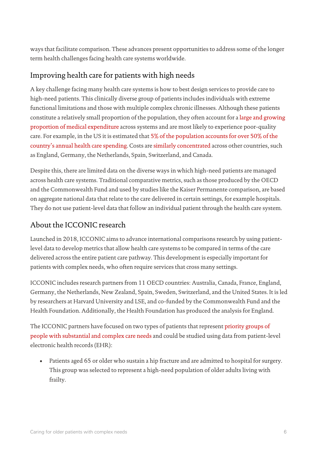ways that facilitate comparison. These advances present opportunities to address some of the longer term health challenges facing health care systems worldwide.

## Improving health care for patients with high needs

A key challenge facing many health care systems is how to best design services to provide care to high-need patients. This clinically diverse group of patients includes individuals with extreme functional limitations and those with multiple complex chronic illnesses. Although these patients constitute a relatively small proportion of the population, they often account for a [large and growing](https://ifs.org.uk/publications/8751)  [proportion of medical expenditure](https://ifs.org.uk/publications/8751) across systems and are most likely to experience poor-quality care. For example, in the US it is estimated tha[t 5% of the population accounts for over 50% of the](https://www.commonwealthfund.org/publications/journal-article/2016/jul/caring-high-need-high-cost-patients-urgent-priority)  [country's annual health care spending.](https://www.commonwealthfund.org/publications/journal-article/2016/jul/caring-high-need-high-cost-patients-urgent-priority) Costs are [similarly concentrated](https://journals.plos.org/plosone/article?id=10.1371/journal.pone.0217353) across other countries, such as England, Germany, the Netherlands, Spain, Switzerland, and Canada.

Despite this, there are limited data on the diverse ways in which high-need patients are managed across health care systems. Traditional comparative metrics, such as those produced by the OECD and the Commonwealth Fund and used by studies like the Kaiser Permanente comparison, are based on aggregate national data that relate to the care delivered in certain settings, for example hospitals. They do not use patient-level data that follow an individual patient through the health care system.

### About the ICCONIC research

Launched in 2018, ICCONIC aims to advance international comparisons research by using patientlevel data to develop metrics that allow health care systems to be compared in terms of the care delivered across the entire patient care pathway. This development is especially important for patients with complex needs, who often require services that cross many settings.

ICCONIC includes research partners from 11 OECD countries: Australia, Canada, France, England, Germany, the Netherlands, New Zealand, Spain, Sweden, Switzerland, and the United States. It is led by researchers at Harvard University and LSE, and co-funded by the Commonwealth Fund and the Health Foundation. Additionally, the Health Foundation has produced the analysis for England.

The ICCONIC partners have focused on two types of patients that represen[t priority groups of](https://nam.edu/wp-content/uploads/2017/06/Effective-Care-for-High-Need-Patients.pdf)  [people with substantial and complex care needs](https://nam.edu/wp-content/uploads/2017/06/Effective-Care-for-High-Need-Patients.pdf) and could be studied using data from patient-level electronic health records (EHR):

• Patients aged 65 or older who sustain a hip fracture and are admitted to hospital for surgery. This group was selected to represent a high-need population of older adults living with frailty.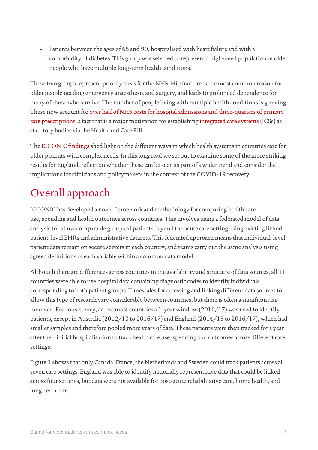• Patients between the ages of 65 and 90, hospitalised with heart failure and with a comorbidity of diabetes. This group was selected to represent a high-need population of older people who have multiple long-term health conditions.

These two groups represent priority areas for the NHS. Hip fracture is the most common reason for older people needing emergency anaesthesia and surgery, and leads to prolonged dependence for many of those who survive. The number of people living with multiple health conditions is growing. These now account fo[r over half of NHS costs for hospital admissions and three-quarters of primary](https://www.health.org.uk/publications/understanding-the-health-care-needs-of-people-with-multiple-health-conditions)  [care prescriptions,](https://www.health.org.uk/publications/understanding-the-health-care-needs-of-people-with-multiple-health-conditions) a fact that is a major motivation for establishin[g integrated care systems](https://www.gov.uk/government/publications/working-together-to-improve-health-and-social-care-for-all/integration-and-innovation-working-together-to-improve-health-and-social-care-for-all-html-version) (ICSs) as statutory bodies via the Health and Care Bill.

The [ICCONIC findings](https://onlinelibrary.wiley.com/toc/14756773/2021/56/S3) shed light on the different ways in which health systems in countries care for older patients with complex needs. In this long read we set out to examine some of the more striking results for England, reflect on whether these can be seen as part of a wider trend and consider the implications for clinicians and policymakers in the context of the COVID-19 recovery.

# Overall approach

ICCONIC has developed a novel framework and methodology for comparing health care use, spending and health outcomes across countries. This involves using a federated model of data analysis to follow comparable groups of patients beyond the acute care setting using existing linked patient-level EHRs and administrative datasets. This federated approach means that individual-level patient data remain on secure servers in each country, and teams carry out the same analysis using agreed definitions of each variable within a common data model.

Although there are differences across countries in the availability and structure of data sources, all 11 countries were able to use hospital data containing diagnostic codes to identify individuals corresponding to both patient groups. Timescales for accessing and linking different data sources to allow this type of research vary considerably between countries, but there is often a significant lag involved. For consistency, across most countries a 1-year window (2016/17) was used to identify patients, except in Australia (2012/13 to 2016/17) and England (2014/15 to 2016/17), which had smaller samples and therefore pooled more years of data. These patients were then tracked for a year after their initial hospitalisation to track health care use, spending and outcomes across different care settings.

Figure 1 shows that only Canada, France, the Netherlands and Sweden could track patients across all seven care settings. England was able to identify nationally representative data that could be linked across four settings, but data were not available for post-acute rehabilitative care, home health, and long-term care.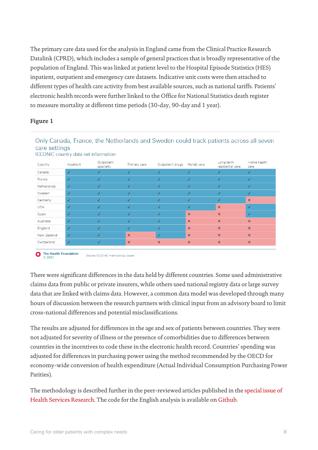The primary care data used for the analysis in England came from the Clinical Practice Research Datalink (CPRD), which includes a sample of general practices that is broadly representative of the population of England. This was linked at patient level to the Hospital Episode Statistics (HES) inpatient, outpatient and emergency care datasets. Indicative unit costs were then attached to different types of health care activity from best available sources, such as national tariffs. Patients' electronic health records were further linked to the Office for National Statistics death register to measure mortality at different time periods (30-day, 90-day and 1 year).

#### **Figure 1**

#### Only Canada, France, the Netherlands and Sweden could track patients across all seven care settings

| Country     | Inpatient    | Outpatient<br>specialty | Primary care              | Outpatient drugs | Rehab care                | Long-term<br>residential care | Home health<br>care       |
|-------------|--------------|-------------------------|---------------------------|------------------|---------------------------|-------------------------------|---------------------------|
| Canada      | ✓            | $\checkmark$            | √                         | $\checkmark$     | √                         | $\checkmark$                  | $\checkmark$              |
| France      | √            | $\checkmark$            | √                         | ✓                | √                         | √                             | $\checkmark$              |
| Netherlands | √            | $\checkmark$            | √                         | ✓                | √                         | √                             | $\checkmark$              |
| Sweden      | ✓            | $\checkmark$            | $\checkmark$              | ✓                | $\checkmark$              | √                             | $\checkmark$              |
| Germany     | √            | √                       | √                         | $\checkmark$     | √                         | √                             | $\boldsymbol{\mathsf{x}}$ |
| <b>USA</b>  | $\checkmark$ | $\checkmark$            | $\checkmark$              | $\checkmark$     | $\checkmark$              | $\boldsymbol{\mathsf{x}}$     | $\checkmark$              |
| Spain       | $\checkmark$ | $\checkmark$            | $\checkmark$              | $\checkmark$     | $\boldsymbol{\mathsf{x}}$ | $\boldsymbol{\mathsf{x}}$     | $\checkmark$              |
| Australia   | √            | $\checkmark$            | $\checkmark$              | $\checkmark$     | $\boldsymbol{\mathsf{x}}$ | $\pmb{\times}$                | $\pmb{\times}$            |
| England     | √            | $\checkmark$            | $\checkmark$              | $\checkmark$     | $\boldsymbol{\mathsf{x}}$ | $\pmb{\times}$                | $\pmb{\times}$            |
| New Zealand | $\checkmark$ | $\checkmark$            | $\boldsymbol{\mathsf{x}}$ | √                | $\boldsymbol{\mathsf{x}}$ | $\boldsymbol{\mathsf{x}}$     | $\pmb{\times}$            |
| Switzerland | $\checkmark$ | √                       | $\boldsymbol{\mathsf{x}}$ | $\pmb{\times}$   | $\pmb{\times}$            | $\boldsymbol{\times}$         | $\pmb{\times}$            |

ICCONIC country data set information

There were significant differences in the data held by different countries. Some used administrative claims data from public or private insurers, while others used national registry data or large survey data that are linked with claims data. However, a common data model was developed through many hours of discussion between the research partners with clinical input from an advisory board to limit cross-national differences and potential misclassifications.

The results are adjusted for differences in the age and sex of patients between countries. They were not adjusted for severity of illness or the presence of comorbidities due to differences between countries in the incentives to code these in the electronic health record. Countries' spending was adjusted for differences in purchasing power using the method recommended by the OECD for economy-wide conversion of health expenditure (Actual Individual Consumption Purchasing Power Parities).

The methodology is described further in the peer-reviewed articles published in th[e special issue of](https://onlinelibrary.wiley.com/toc/14756773/2021/56/S3)  [Health Services Research.](https://onlinelibrary.wiley.com/toc/14756773/2021/56/S3) The code for the English analysis is available o[n Github.](https://github.com/HFAnalyticsLab/ICCONIC-English-results)

The Health Foundation Source: ICCONIC methodology paper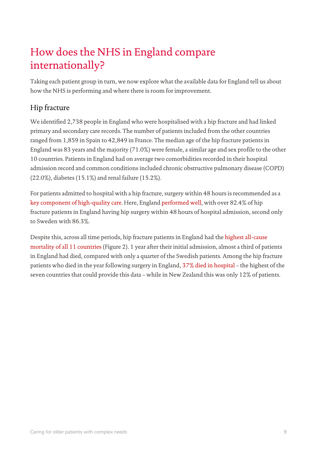# How does the NHS in England compare internationally?

Taking each patient group in turn, we now explore what the available data for England tell us about how the NHS is performing and where there is room for improvement.

# Hip fracture

We identified 2,738 people in England who were hospitalised with a hip fracture and had linked primary and secondary care records. The number of patients included from the other countries ranged from 1,859 in Spain to 42,849 in France. The median age of the hip fracture patients in England was 83 years and the majority (71.0%) were female, a similar age and sex profile to the other 10 countries. Patients in England had on average two comorbidities recorded in their hospital admission record and common conditions included chronic obstructive pulmonary disease (COPD) (22.0%), diabetes (15.1%) and renal failure (15.2%).

For patients admitted to hospital with a hip fracture, surgery within 48 hours is recommended as a [key component of high-quality care.](https://www.nice.org.uk/guidance/cg124) Here, Englan[d performed well,](https://pubmed.ncbi.nlm.nih.gov/34378796/) with over 82.4% of hip fracture patients in England having hip surgery within 48 hours of hospital admission, second only to Sweden with 86.3%.

Despite this, across all time periods, hip fracture patients in England had th[e highest all-cause](https://pubmed.ncbi.nlm.nih.gov/34378796/)  [mortality of all 11 countries](https://pubmed.ncbi.nlm.nih.gov/34378796/) (Figure 2). 1 year after their initial admission, almost a third of patients in England had died, compared with only a quarter of the Swedish patients. Among the hip fracture patients who died in the year following surgery in England, [37% died in hospital](https://pubmed.ncbi.nlm.nih.gov/34490633/) – the highest of the seven countries that could provide this data – while in New Zealand this was only 12% of patients.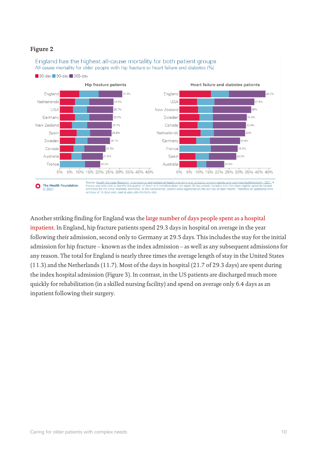#### **Figure 2**



England has the highest all-cause mortality for both patient groups

Another striking finding for England was the large number of [days people spent as a hospital](https://pubmed.ncbi.nlm.nih.gov/34390254/)  [inpatient.](https://pubmed.ncbi.nlm.nih.gov/34390254/) In England, hip fracture patients spend 29.3 days in hospital on average in the year following their admission, second only to Germany at 29.5 days. This includes the stay for the initial admission for hip fracture – known as the index admission – as well as any subsequent admissions for any reason. The total for England is nearly three times the average length of stay in the United States (11.3) and the Netherlands (11.7). Most of the days in hospital (21.7 of 29.3 days) are spent during the index hospital admission (Figure 3). In contrast, in the US patients are discharged much more quickly for rehabilitation (in a skilled nursing facility) and spend on average only 6.4 days as an inpatient following their surgery.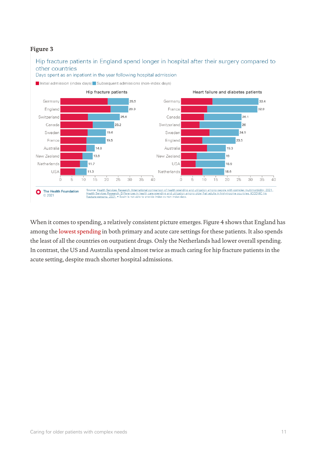#### **Figure 3**



When it comes to spending, a relatively consistent picture emerges. Figure 4 shows that England has among the [lowest spending](https://pubmed.ncbi.nlm.nih.gov/34390254/) in both primary and acute care settings for these patients. It also spends the least of all the countries on outpatient drugs. Only the Netherlands had lower overall spending. In contrast, the US and Australia spend almost twice as much caring for hip fracture patients in the acute setting, despite much shorter hospital admissions.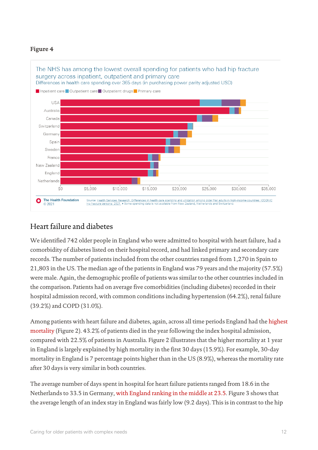#### **Figure 4**



### Heart failure and diabetes

We identified 742 older people in England who were admitted to hospital with heart failure, had a comorbidity of diabetes listed on their hospital record, and had linked primary and secondary care records. The number of patients included from the other countries ranged from 1,270 in Spain to 21,803 in the US. The median age of the patients in England was 79 years and the majority (57.5%) were male. Again, the demographic profile of patients was similar to the other countries included in the comparison. Patients had on average five comorbidities (including diabetes) recorded in their hospital admission record, with common conditions including hypertension (64.2%), renal failure (39.2%) and COPD (31.0%).

Among patients with heart failure and diabetes, again, across all time periods England had th[e highest](https://pubmed.ncbi.nlm.nih.gov/34378796/)  [mortality](https://pubmed.ncbi.nlm.nih.gov/34378796/) (Figure 2). 43.2% of patients died in the year following the index hospital admission, compared with 22.5% of patients in Australia. Figure 2 illustrates that the higher mortality at 1 year in England is largely explained by high mortality in the first 30 days (15.9%). For example, 30-day mortality in England is 7 percentage points higher than in the US (8.9%), whereas the mortality rate after 30 days is very similar in both countries.

The average number of days spent in hospital for heart failure patients ranged from 18.6 in the Netherlands to 33.5 in Germany[, with England ranking in the middle at 23.5.](https://pubmed.ncbi.nlm.nih.gov/34350586/) Figure 3 shows that the average length of an index stay in England was fairly low (9.2 days). This is in contrast to the hip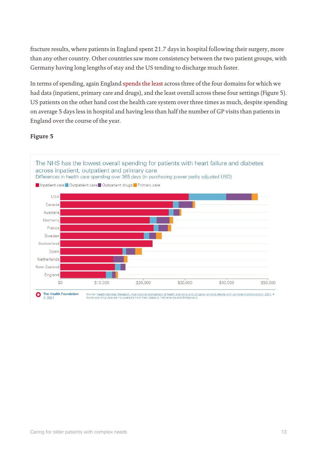fracture results, where patients in England spent 21.7 days in hospital following their surgery, more than any other country. Other countries saw more consistency between the two patient groups, with Germany having long lengths of stay and the US tending to discharge much faster.

In terms of spending, again England spends [the least](https://pubmed.ncbi.nlm.nih.gov/34350586/) across three of the four domains for which we had data (inpatient, primary care and drugs), and the least overall across these four settings (Figure 5). US patients on the other hand cost the health care system over three times as much, despite spending on average 5 days less in hospital and having less than half the number of GP visits than patients in England over the course of the year.

#### **Figure 5**

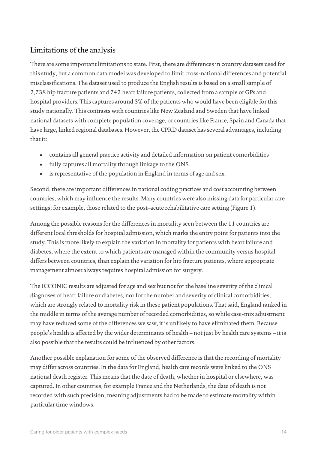### Limitations of the analysis

There are some important limitations to state. First, there are differences in country datasets used for this study, but a common data model was developed to limit cross-national differences and potential misclassifications. The dataset used to produce the English results is based on a small sample of 2,738 hip fracture patients and 742 heart failure patients, collected from a sample of GPs and hospital providers. This captures around 3% of the patients who would have been eligible for this study nationally. This contrasts with countries like New Zealand and Sweden that have linked national datasets with complete population coverage, or countries like France, Spain and Canada that have large, linked regional databases. However, the CPRD dataset has several advantages, including that it:

- contains all general practice activity and detailed information on patient comorbidities
- fully captures all mortality through linkage to the ONS
- is representative of the population in England in terms of age and sex.

Second, there are important differences in national coding practices and cost accounting between countries, which may influence the results. Many countries were also missing data for particular care settings; for example, those related to the post–acute rehabilitative care setting (Figure 1).

Among the possible reasons for the differences in mortality seen between the 11 countries are different local thresholds for hospital admission, which marks the entry point for patients into the study. This is more likely to explain the variation in mortality for patients with heart failure and diabetes, where the extent to which patients are managed within the community versus hospital differs between countries, than explain the variation for hip fracture patients, where appropriate management almost always requires hospital admission for surgery.

The ICCONIC results are adjusted for age and sex but not for the baseline severity of the clinical diagnoses of heart failure or diabetes, nor for the number and severity of clinical comorbidities, which are strongly related to mortality risk in these patient populations. That said, England ranked in the middle in terms of the average number of recorded comorbidities, so while case-mix adjustment may have reduced some of the differences we saw, it is unlikely to have eliminated them. Because people's health is affected by the wider determinants of health – not just by health care systems – it is also possible that the results could be influenced by other factors.

Another possible explanation for some of the observed difference is that the recording of mortality may differ across countries. In the data for England, health care records were linked to the ONS national death register. This means that the date of death, whether in hospital or elsewhere, was captured. In other countries, for example France and the Netherlands, the date of death is not recorded with such precision, meaning adjustments had to be made to estimate mortality within particular time windows.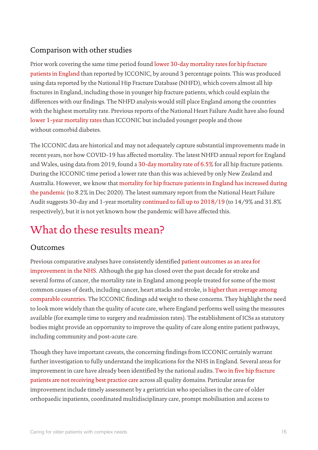### Comparison with other studies

Prior work covering the same time period foun[d lower 30-day mortality rates for hip fracture](https://www.nhfd.co.uk/20/hipfractureR.nsf/docs/reports2017)  [patients in England](https://www.nhfd.co.uk/20/hipfractureR.nsf/docs/reports2017) than reported by ICCONIC, by around 3 percentage points. This was produced using data reported by the National Hip Fracture Database (NHFD), which covers almost all hip fractures in England, including those in younger hip fracture patients, which could explain the differences with our findings. The NHFD analysis would still place England among the countries with the highest mortality rate. Previous reports of the National Heart Failure Audit have also found lower [1-year mortality rates](https://www.nicor.org.uk/wp-content/uploads/2019/02/annual-report-2015-6-v8.pdf) than ICCONIC but included younger people and those without comorbid diabetes.

The ICCONIC data are historical and may not adequately capture substantial improvements made in recent years, nor how COVID-19 has affected mortality. The latest NHFD annual report for England and Wales, using data from 2019, found [a 30-day mortality rate of 6.5%](https://www.nhfd.co.uk/20/hipfracturer.nsf/docs/reports2020) for all hip fracture patients. During the ICCONIC time period a lower rate than this was achieved by only New Zealand and Australia. However, we know that mortality [for hip fracture patients in England has](https://www.nhfd.co.uk/20/NHFDcharts.nsf/vwCharts/Mortality?open&org=) increased during [the pandemic](https://www.nhfd.co.uk/20/NHFDcharts.nsf/vwCharts/Mortality?open&org=) (to 8.2% in Dec 2020). The latest summary report from the National Heart Failure Audit suggests 30-day and 1-year mortality [continued to fall up to 2018/19](https://www.nicor.org.uk/wp-content/uploads/2020/12/National-Heart-Failure-Audit-2020-FINAL.pdf) (to 14/9% and 31.8% respectively), but it is not yet known how the pandemic will have affected this.

# What do these results mean?

### Outcomes

Previous comparative analyses have consistently identifie[d patient outcomes](https://www.health.org.uk/publications/nhs-at-70-how-good-is-the-nhs) as an area for [improvement](https://www.health.org.uk/publications/nhs-at-70-how-good-is-the-nhs) in the NHS. Although the gap has closed over the past decade for stroke and several forms of cancer, the mortality rate in England among people treated for some of the most common causes of death, including cancer, heart attacks and stroke, i[s higher than average among](https://www.commonwealthfund.org/publications/fund-reports/2021/aug/mirror-mirror-2021-reflecting-poorly)  [comparable countries.](https://www.commonwealthfund.org/publications/fund-reports/2021/aug/mirror-mirror-2021-reflecting-poorly) The ICCONIC findings add weight to these concerns. They highlight the need to look more widely than the quality of acute care, where England performs well using the measures available (for example time to surgery and readmission rates). The establishment of ICSs as statutory bodies might provide an opportunity to improve the quality of care along entire patient pathways, including community and post-acute care.

Though they have important caveats, the concerning findings from ICCONIC certainly warrant further investigation to fully understand the implications for the NHS in England. Several areas for improvement in care have already been identified by the national audits[. Two in five hip fracture](https://www.nhfd.co.uk/20/hipfractureR.nsf/docs/reports2017)  [patients are not receiving best practice care](https://www.nhfd.co.uk/20/hipfractureR.nsf/docs/reports2017) across all quality domains. Particular areas for improvement include timely assessment by a geriatrician who specialises in the care of older orthopaedic inpatients, coordinated multidisciplinary care, prompt mobilisation and access to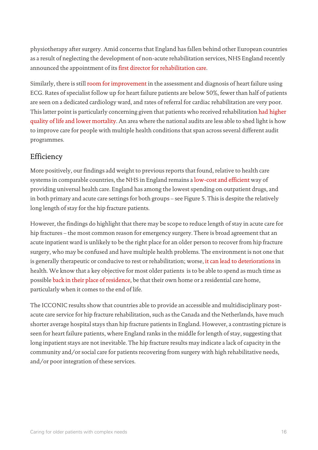physiotherapy after surgery. Amid concerns that England has fallen behind other European countries as a result of neglecting the development of non-acute rehabilitation services, NHS England recently announced the appointment of its [first director for rehabilitation care.](https://www.hsj.co.uk/workforce/first-national-director-of-neglected-rehab-care-appointed/7031083.article)

Similarly, there is still [room for improvement](https://www.nicor.org.uk/wp-content/uploads/2020/12/National-Heart-Failure-Audit-2020-FINAL.pdf) in the assessment and diagnosis of heart failure using ECG. Rates of specialist follow up for heart failure patients are below 50%, fewer than half of patients are seen on a dedicated cardiology ward, and rates of referral for cardiac rehabilitation are very poor. This latter point is particularly concerning given that patients who received rehabilitation had [higher](https://www.nicor.org.uk/wp-content/uploads/2020/12/National-Heart-Failure-Audit-2020-FINAL.pdf)  [quality of life and lower mortality.](https://www.nicor.org.uk/wp-content/uploads/2020/12/National-Heart-Failure-Audit-2020-FINAL.pdf) An area where the national audits are less able to shed light is how to improve care for people with multiple health conditions that span across several different audit programmes.

### Efficiency

More positively, our findings add weight to previous reports that found, relative to health care systems in comparable countries, the NHS in England remains a [low-cost and efficient](https://www.health.org.uk/news-and-comment/charts-and-infographics/taxes-and-health-care-funding-how-does-the-uk-compare) way of providing universal health care. England has among the lowest spending on outpatient drugs, and in both primary and acute care settings for both groups – see Figure 5. This is despite the relatively long length of stay for the hip fracture patients.

However, the findings do highlight that there may be scope to reduce length of stay in acute care for hip fractures – the most common reason for emergency surgery. There is broad agreement that an acute inpatient ward is unlikely to be the right place for an older person to recover from hip fracture surgery, who may be confused and have multiple health problems. The environment is not one that is generally therapeutic or conducive to rest or rehabilitation; worse[, it can lead to deteriorations](https://www.nejm.org/doi/full/10.1056/nejmp1212324) in health. We know that a key objective for most older patients is to be able to spend as much time as possible [back in their place of residence,](https://journals.sagepub.com/doi/10.1177/0269216311412233) be that their own home or a residential care home, particularly when it comes to the end of life.

The ICCONIC results show that countries able to provide an accessible and multidisciplinary postacute care service for hip fracture rehabilitation, such as the Canada and the Netherlands, have much shorter average hospital stays than hip fracture patients in England. However, a contrasting picture is seen for heart failure patients, where England ranks in the middle for length of stay, suggesting that long inpatient stays are not inevitable. The hip fracture results may indicate a lack of capacity in the community and/or social care for patients recovering from surgery with high rehabilitative needs, and/or poor integration of these services.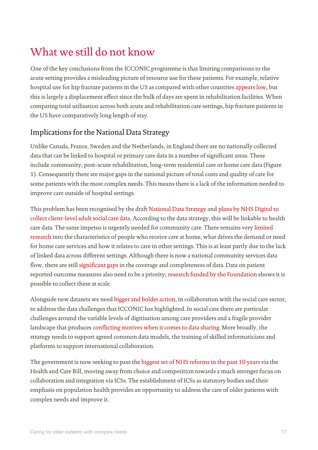# What we still do not know

One of the key conclusions from the ICCONIC programme is that limiting comparisons to the acute setting provides a misleading picture of resource use for these patients. For example, relative hospital use for hip fracture patients in the US as compared with other countries [appears low,](https://pubmed.ncbi.nlm.nih.gov/34390254/) but this is largely a displacement effect since the bulk of days are spent in rehabilitation facilities. When comparing total utilisation across both acute and rehabilitation care settings, hip fracture patients in the US have comparatively long length of stay.

### Implications for the National Data Strategy

Unlike Canada, France, Sweden and the Netherlands, in England there are no nationally collected data that can be linked to hospital or primary care data in a number of significant areas. These include community, post-acute rehabilitation, long-term residential care or home care data (Figure 1). Consequently there are major gaps in the national picture of total costs and quality of care for some patients with the most complex needs. This means there is a lack of the information needed to improve care outside of hospital settings.

This problem has been recognised by the draft [National Data Strategy](https://www.gov.uk/government/publications/data-saves-lives-reshaping-health-and-social-care-with-data-draft/data-saves-lives-reshaping-health-and-social-care-with-data-draft) [a](https://www.gov.uk/government/publications/data-saves-lives-reshaping-health-and-social-care-with-data-draft/data-saves-lives-reshaping-health-and-social-care-with-data-draft)nd [plans by NHS Digital to](https://digital.nhs.uk/about-nhs-digital/corporate-information-and-documents/directions-and-data-provision-notices/secretary-of-state-directions/collection-of-client-level-adult-social-care-data-no-2)  [collect client-level adult social care data.](https://digital.nhs.uk/about-nhs-digital/corporate-information-and-documents/directions-and-data-provision-notices/secretary-of-state-directions/collection-of-client-level-adult-social-care-data-no-2) According to the data strategy, this will be linkable to health care data. The same impetus is urgently needed for community care. There remains very [limited](https://academic.oup.com/ageing/article/48/1/57/5105869)  [research](https://academic.oup.com/ageing/article/48/1/57/5105869) into the characteristics of people who receive care at home, what drives the demand or need for home care services and how it relates to care in other settings. This is at least partly due to the lack of linked data across different settings. Although there is now a national community services data flow, there are still [significant gaps](https://www.nuffieldtrust.org.uk/project/impact-of-covid-19-on-community-services) in the coverage and completeness of data. Data on patient reported outcome measures also need to be a priority[; research funded by the Foundation](https://www.health.org.uk/research-projects/optimising-routine-collection-of-electronic-patient-reported-outcomes-into-disease) shows it is possible to collect these at scale.

Alongside new datasets we nee[d bigger and bolder action,](https://www.health.org.uk/news-and-comment/blogs/the-full-health-and-care-data-strategy-must-address-its-shortcomings) in collaboration with the social care sector, to address the data challenges that ICCONIC has highlighted. In social care there are particular challenges around the variable levels of digitisation among care providers and a fragile provider landscape that produces [conflicting motives when it comes to data sharing.](https://www.health.org.uk/news-and-comment/blogs/strengthening-social-care-analytics-in-the-wake-of-covid-19-initial-findings) More broadly, the strategy needs to support agreed common data models, the training of skilled informaticians and platforms to support international collaboration.

The government is now seeking to pass th[e biggest set of NHS reforms in the past 10 years](https://www.bmj.com/content/372/bmj.n248) via the Health and Care Bill, moving away from choice and competition towards a much stronger focus on collaboration and integration via ICSs. The establishment of ICSs as statutory bodies and their emphasis on population health provides an opportunity to address the care of older patients with complex needs and improve it.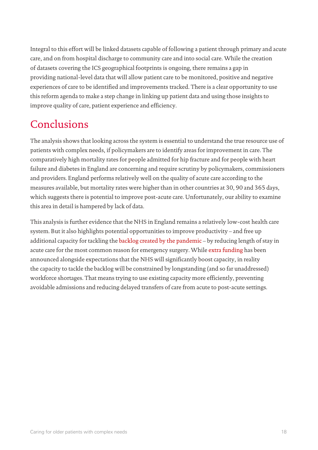Integral to this effort will be linked datasets capable of following a patient through primary and acute care, and on from hospital discharge to community care and into social care. While the creation of datasets covering the ICS geographical footprints is ongoing, there remains a gap in providing national-level data that will allow patient care to be monitored, positive and negative experiences of care to be identified and improvements tracked. There is a clear opportunity to use this reform agenda to make a step change in linking up patient data and using those insights to improve quality of care, patient experience and efficiency.

# Conclusions

The analysis shows that looking across the system is essential to understand the true resource use of patients with complex needs, if policymakers are to identify areas for improvement in care. The comparatively high mortality rates for people admitted for hip fracture and for people with heart failure and diabetes in England are concerning and require scrutiny by policymakers, commissioners and providers. England performs relatively well on the quality of acute care according to the measures available, but mortality rates were higher than in other countries at 30, 90 and 365 days, which suggests there is potential to improve post-acute care. Unfortunately, our ability to examine this area in detail is hampered by lack of data.

This analysis is further evidence that the NHS in England remains a relatively low-cost health care system. But it also highlights potential opportunities to improve productivity – and free up additional capacity for tackling th[e backlog created by the pandemic](https://www.health.org.uk/news-and-comment/charts-and-infographics/elective-care-how-has-covid-19-affected-the-waiting-list) – by reducing length of stay in acute care for the most common reason for emergency surgery. Whil[e extra funding](https://www.health.org.uk/news-and-comment/charts-and-infographics/spending-review-2021-what-it-means-for-health-and-social-care) has been announced alongside expectations that the NHS will significantly boost capacity, in reality the capacity to tackle the backlog will be constrained by longstanding (and so far unaddressed) workforce shortages. That means trying to use existing capacity more efficiently, preventing avoidable admissions and reducing delayed transfers of care from acute to post-acute settings.